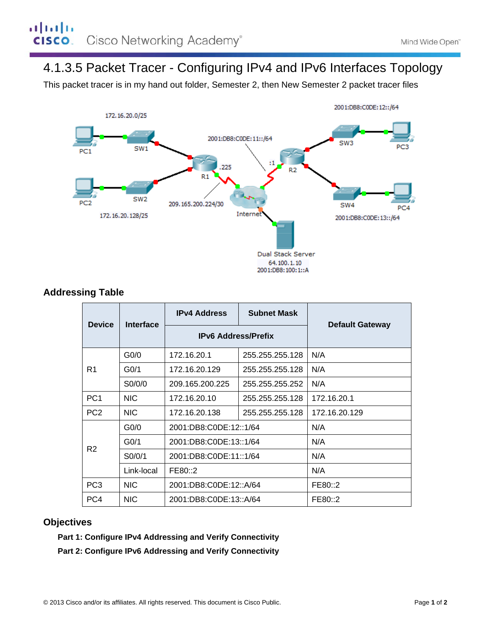# 4.1.3.5 Packet Tracer - Configuring IPv4 and IPv6 Interfaces Topology

This packet tracer is in my hand out folder, Semester 2, then New Semester 2 packet tracer files



## **Addressing Table**

| <b>Device</b>   | Interface         | <b>IPv4 Address</b>        | <b>Subnet Mask</b> | <b>Default Gateway</b> |
|-----------------|-------------------|----------------------------|--------------------|------------------------|
|                 |                   | <b>IPv6 Address/Prefix</b> |                    |                        |
| R1              | G <sub>0</sub> /0 | 172.16.20.1                | 255.255.255.128    | N/A                    |
|                 | G <sub>0/1</sub>  | 172.16.20.129              | 255.255.255.128    | N/A                    |
|                 | S0/0/0            | 209.165.200.225            | 255.255.255.252    | N/A                    |
| PC <sub>1</sub> | <b>NIC</b>        | 172.16.20.10               | 255.255.255.128    | 172.16.20.1            |
| PC <sub>2</sub> | <b>NIC</b>        | 172.16.20.138              | 255.255.255.128    | 172.16.20.129          |
| R <sub>2</sub>  | G <sub>0</sub> /0 | 2001:DB8:C0DE:12::1/64     |                    | N/A                    |
|                 | G <sub>0/1</sub>  | 2001:DB8:C0DE:13::1/64     |                    | N/A                    |
|                 | SO/0/1            | 2001:DB8:C0DE:11::1/64     |                    | N/A                    |
|                 | Link-local        | FE80::2                    |                    | N/A                    |
| PC <sub>3</sub> | <b>NIC</b>        | 2001:DB8:C0DE:12::A/64     |                    | FE80::2                |
| PC4             | <b>NIC</b>        | 2001:DB8:C0DE:13::A/64     |                    | FE80::2                |

### **Objectives**

**Part 1: Configure IPv4 Addressing and Verify Connectivity** 

**Part 2: Configure IPv6 Addressing and Verify Connectivity**